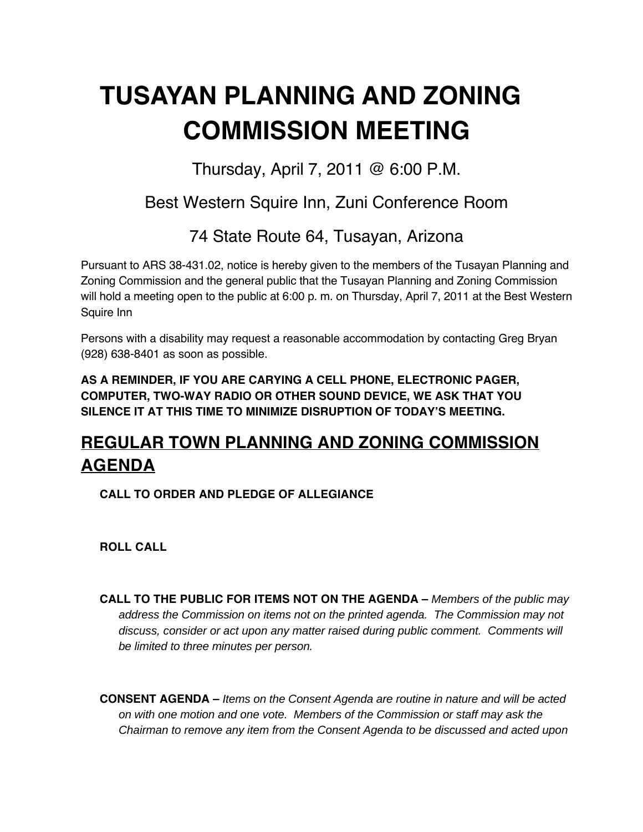# **TUSAYAN PLANNING AND ZONING COMMISSION MEETING**

Thursday, April 7, 2011 @ 6:00 P.M.

### Best Western Squire Inn, Zuni Conference Room

74 State Route 64, Tusayan, Arizona

Pursuant to ARS 38-431.02, notice is hereby given to the members of the Tusayan Planning and Zoning Commission and the general public that the Tusayan Planning and Zoning Commission will hold a meeting open to the public at 6:00 p. m. on Thursday, April 7, 2011 at the Best Western Squire Inn

Persons with a disability may request a reasonable accommodation by contacting Greg Bryan (928) 638-8401 as soon as possible.

**AS A REMINDER, IF YOU ARE CARYING A CELL PHONE, ELECTRONIC PAGER, COMPUTER, TWO-WAY RADIO OR OTHER SOUND DEVICE, WE ASK THAT YOU SILENCE IT AT THIS TIME TO MINIMIZE DISRUPTION OF TODAY'S MEETING.**

## **REGULAR TOWN PLANNING AND ZONING COMMISSION AGENDA**

**CALL TO ORDER AND PLEDGE OF ALLEGIANCE**

**ROLL CALL**

**CALL TO THE PUBLIC FOR ITEMS NOT ON THE AGENDA –** Members of the public may address the Commission on items not on the printed agenda. The Commission may not discuss, consider or act upon any matter raised during public comment. Comments will be limited to three minutes per person.

**CONSENT AGENDA –** Items on the Consent Agenda are routine in nature and will be acted on with one motion and one vote. Members of the Commission or staff may ask the Chairman to remove any item from the Consent Agenda to be discussed and acted upon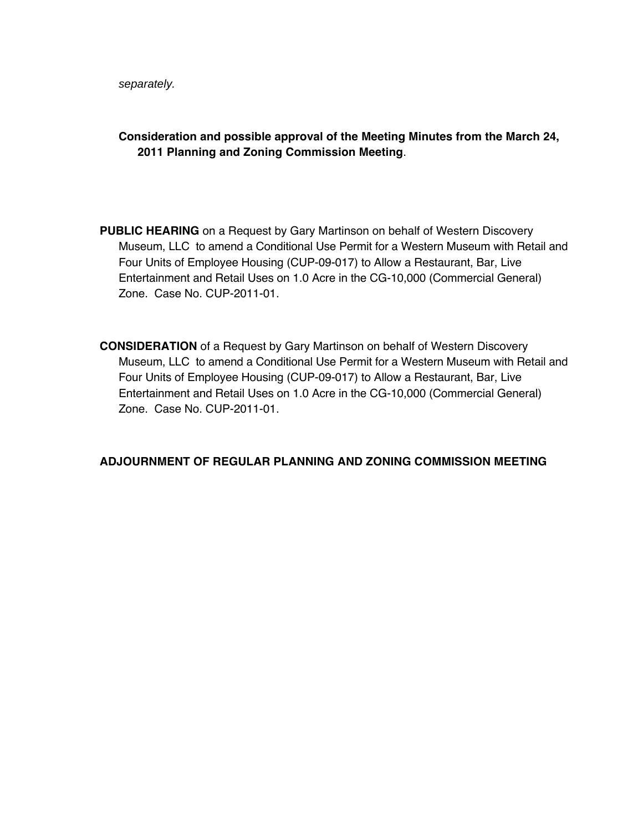separately.

#### **Consideration and possible approval of the Meeting Minutes from the March 24, 2011 Planning and Zoning Commission Meeting**.

- **PUBLIC HEARING** on a Request by Gary Martinson on behalf of Western Discovery Museum, LLC to amend a Conditional Use Permit for a Western Museum with Retail and Four Units of Employee Housing (CUP-09-017) to Allow a Restaurant, Bar, Live Entertainment and Retail Uses on 1.0 Acre in the CG-10,000 (Commercial General) Zone. Case No. CUP-2011-01.
- **CONSIDERATION** of a Request by Gary Martinson on behalf of Western Discovery Museum, LLC to amend a Conditional Use Permit for a Western Museum with Retail and Four Units of Employee Housing (CUP-09-017) to Allow a Restaurant, Bar, Live Entertainment and Retail Uses on 1.0 Acre in the CG-10,000 (Commercial General) Zone. Case No. CUP-2011-01.

#### **ADJOURNMENT OF REGULAR PLANNING AND ZONING COMMISSION MEETING**